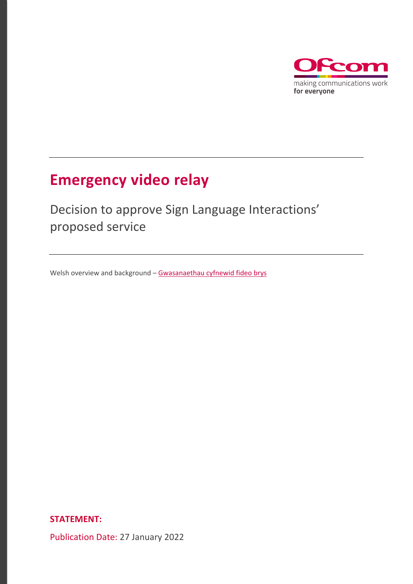

# **Emergency video relay**

# Decision to approve Sign Language Interactions' proposed service

Welsh overview and background - [Gwasanaethau cyfnewid fideo brys](https://www.ofcom.org.uk/__data/assets/pdf_file/0018/231543/gwasanaethau-cyfnewid-fideo-brys-trosolwg-or-datganiad.pdf)

**STATEMENT:** 

Publication Date: 27 January 2022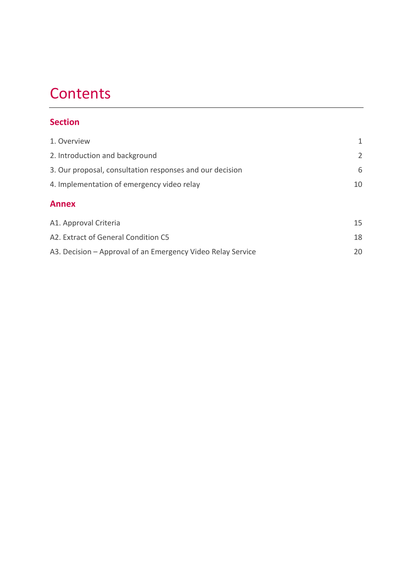# **Contents**

## **Section**

| 1. Overview                                              | 1              |
|----------------------------------------------------------|----------------|
| 2. Introduction and background                           | $\overline{2}$ |
| 3. Our proposal, consultation responses and our decision | 6              |
| 4. Implementation of emergency video relay               |                |
| <b>Annex</b>                                             |                |
| A1. Approval Criteria                                    | 15             |
|                                                          |                |
| A2. Extract of General Condition C5                      | 18             |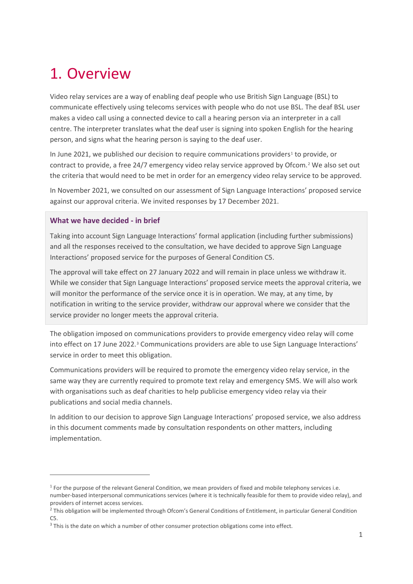# <span id="page-2-0"></span>1. Overview

Video relay services are a way of enabling deaf people who use British Sign Language (BSL) to communicate effectively using telecoms services with people who do not use BSL. The deaf BSL user makes a video call using a connected device to call a hearing person via an interpreter in a call centre. The interpreter translates what the deaf user is signing into spoken English for the hearing person, and signs what the hearing person is saying to the deaf user.

In June 202[1](#page-2-1), we published our decision to require communications providers<sup>1</sup> to provide, or contract to provide, a free 24/7 emergency video relay service approved by Ofcom.[2](#page-2-2) We also set out the criteria that would need to be met in order for an emergency video relay service to be approved.

In November 2021, we consulted on our assessment of Sign Language Interactions' proposed service against our approval criteria. We invited responses by 17 December 2021.

#### **What we have decided - in brief**

Taking into account Sign Language Interactions' formal application (including further submissions) and all the responses received to the consultation, we have decided to approve Sign Language Interactions' proposed service for the purposes of General Condition C5.

The approval will take effect on 27 January 2022 and will remain in place unless we withdraw it. While we consider that Sign Language Interactions' proposed service meets the approval criteria, we will monitor the performance of the service once it is in operation. We may, at any time, by notification in writing to the service provider, withdraw our approval where we consider that the service provider no longer meets the approval criteria.

The obligation imposed on communications providers to provide emergency video relay will come into effect on 17 June 2022.<sup>[3](#page-2-3)</sup> Communications providers are able to use Sign Language Interactions' service in order to meet this obligation.

Communications providers will be required to promote the emergency video relay service, in the same way they are currently required to promote text relay and emergency SMS. We will also work with organisations such as deaf charities to help publicise emergency video relay via their publications and social media channels.

In addition to our decision to approve Sign Language Interactions' proposed service, we also address in this document comments made by consultation respondents on other matters, including implementation.

<span id="page-2-1"></span><sup>&</sup>lt;sup>1</sup> For the purpose of the relevant General Condition, we mean providers of fixed and mobile telephony services i.e. number-based interpersonal communications services (where it is technically feasible for them to provide video relay), and providers of internet access services.

<span id="page-2-2"></span><sup>&</sup>lt;sup>2</sup> This obligation will be implemented through Ofcom's General Conditions of Entitlement, in particular General Condition C5.

<span id="page-2-3"></span> $3$  This is the date on which a number of other consumer protection obligations come into effect.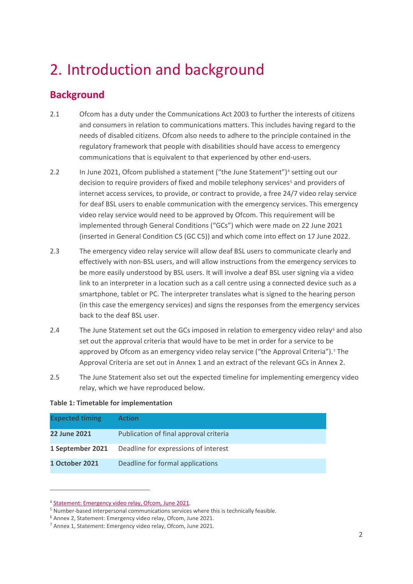# <span id="page-3-0"></span>2. Introduction and background

# **Background**

- 2.1 Ofcom has a duty under the Communications Act 2003 to further the interests of citizens and consumers in relation to communications matters. This includes having regard to the needs of disabled citizens. Ofcom also needs to adhere to the principle contained in the regulatory framework that people with disabilities should have access to emergency communications that is equivalent to that experienced by other end-users.
- 2.2 In June 2021, Ofcom published a statement ("the June Statement")<sup>[4](#page-3-1)</sup> setting out our decision to require providers of fixed and mobile telephony services<sup>[5](#page-3-2)</sup> and providers of internet access services, to provide, or contract to provide, a free 24/7 video relay service for deaf BSL users to enable communication with the emergency services. This emergency video relay service would need to be approved by Ofcom. This requirement will be implemented through General Conditions ("GCs") which were made on 22 June 2021 (inserted in General Condition C5 (GC C5)) and which come into effect on 17 June 2022.
- 2.3 The emergency video relay service will allow deaf BSL users to communicate clearly and effectively with non-BSL users, and will allow instructions from the emergency services to be more easily understood by BSL users. It will involve a deaf BSL user signing via a video link to an interpreter in a location such as a call centre using a connected device such as a smartphone, tablet or PC. The interpreter translates what is signed to the hearing person (in this case the emergency services) and signs the responses from the emergency services back to the deaf BSL user.
- 2.4 The June Statement set out the GCs imposed in relation to emergency video relay<sup>[6](#page-3-3)</sup> and also set out the approval criteria that would have to be met in order for a service to be approved by Ofcom as an emergency video relay service ("the Approval Criteria").[7](#page-3-4) The Approval Criteria are set out in Annex 1 and an extract of the relevant GCs in Annex 2.
- 2.5 The June Statement also set out the expected timeline for implementing emergency video relay, which we have reproduced below.

### **Table 1: Timetable for implementation**

| <b>Expected timing</b> | <b>Action</b>                          |
|------------------------|----------------------------------------|
| 22 June 2021           | Publication of final approval criteria |
| 1 September 2021       | Deadline for expressions of interest   |
| 1 October 2021         | Deadline for formal applications       |

<span id="page-3-1"></span><sup>4</sup> [Statement:](https://www.ofcom.org.uk/__data/assets/pdf_file/0028/220879/statement-emergency-video-relay.pdf) Emergency video relay, Ofcom, June 2021.

<span id="page-3-2"></span><sup>5</sup> Number-based interpersonal communications services where this is technically feasible.

<span id="page-3-3"></span><sup>6</sup> Annex 2, Statement: Emergency video relay, Ofcom, June 2021.

<span id="page-3-4"></span><sup>7</sup> Annex 1, Statement: Emergency video relay, Ofcom, June 2021.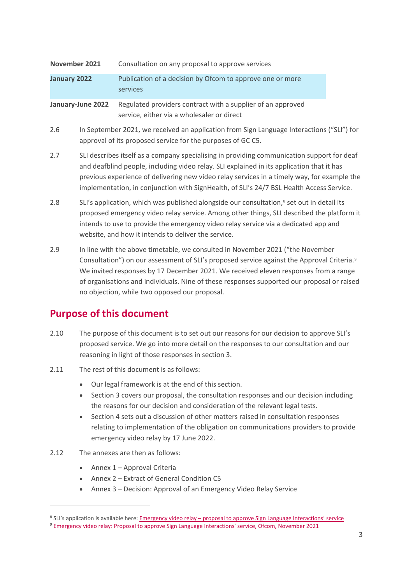| November 2021 |                                                                                                                                                                                                                                                                                                                                                                                    | Consultation on any proposal to approve services                                                          |  |
|---------------|------------------------------------------------------------------------------------------------------------------------------------------------------------------------------------------------------------------------------------------------------------------------------------------------------------------------------------------------------------------------------------|-----------------------------------------------------------------------------------------------------------|--|
| January 2022  |                                                                                                                                                                                                                                                                                                                                                                                    | Publication of a decision by Ofcom to approve one or more<br>services                                     |  |
|               | January-June 2022                                                                                                                                                                                                                                                                                                                                                                  | Regulated providers contract with a supplier of an approved<br>service, either via a wholesaler or direct |  |
| 2.6           | In September 2021, we received an application from Sign Language Interactions ("SLI") for<br>approval of its proposed service for the purposes of GC C5.                                                                                                                                                                                                                           |                                                                                                           |  |
| 2.7           | SLI describes itself as a company specialising in providing communication support for deaf<br>and deafblind people, including video relay. SLI explained in its application that it has<br>previous experience of delivering new video relay services in a timely way, for example the<br>implementation, in conjunction with SignHealth, of SLI's 24/7 BSL Health Access Service. |                                                                                                           |  |
| 2.8           | SLI's application, which was published alongside our consultation, <sup>8</sup> set out in detail its<br>proposed emergency video relay service. Among other things, SLI described the platform it<br>intends to use to provide the emergency video relay service via a dedicated app and<br>website, and how it intends to deliver the service.                                   |                                                                                                           |  |
| 2.9           | In line with the above timetable, we consulted in November 2021 ("the November<br>Consultation") on our assessment of SLI's proposed service against the Approval Criteria. <sup>9</sup><br>We invited responses by 17 December 2021. We received eleven responses from a range<br>of organisations and individuals. Nine of these responses supported our proposal or raised      |                                                                                                           |  |

# **Purpose of this document**

- 2.10 The purpose of this document is to set out our reasons for our decision to approve SLI's proposed service. We go into more detail on the responses to our consultation and our reasoning in light of those responses in section 3.
- 2.11 The rest of this document is as follows:
	- Our legal framework is at the end of this section.

no objection, while two opposed our proposal.

- Section 3 covers our proposal, the consultation responses and our decision including the reasons for our decision and consideration of the relevant legal tests.
- Section 4 sets out a discussion of other matters raised in consultation responses relating to implementation of the obligation on communications providers to provide emergency video relay by 17 June 2022.
- 2.12 The annexes are then as follows:
	- Annex 1 Approval Criteria
	- Annex 2 Extract of General Condition C5
	- Annex 3 Decision: Approval of an Emergency Video Relay Service

<span id="page-4-0"></span><sup>8</sup> SLI's application is available here: Emergency video relay - [proposal to approve Sign Language Interactions'](https://www.ofcom.org.uk/consultations-and-statements/category-3/emergency-video-relay-sli-service?utm_medium=email&utm_campaign=Consultation%20Proposal%20to%20approve%20an%20emergency%20video%20relay%20service&utm_content=Consultation%20Proposal%20to%20approve%20an%20emergency%20video%20relay%20service+CID_c8fed094c91717bd71fd9bde24169777&utm_source=updates&utm_term=approve%20Sign%20Language%20Interactions%20emergency%20video%20relay%20service) service

<span id="page-4-1"></span><sup>9</sup> [Emergency video relay: Proposal to approve Sign Language Interactions' service, Ofcom, November 2021](https://www.ofcom.org.uk/__data/assets/pdf_file/0018/228141/consultation-emergency-video-relay-sli-service.pdf)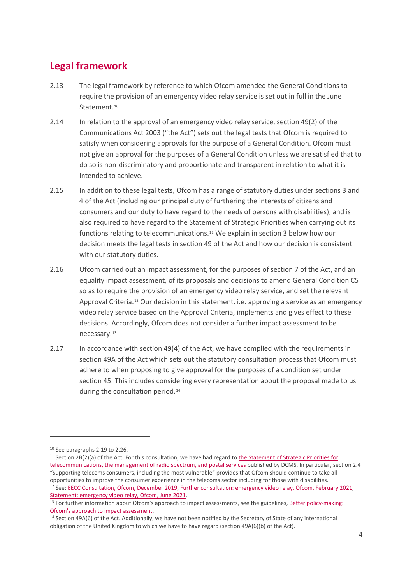# **Legal framework**

- 2.13 The legal framework by reference to which Ofcom amended the General Conditions to require the provision of an emergency video relay service is set out in full in the June Statement.<sup>[10](#page-5-0)</sup>
- 2.14 In relation to the approval of an emergency video relay service, section 49(2) of the Communications Act 2003 ("the Act") sets out the legal tests that Ofcom is required to satisfy when considering approvals for the purpose of a General Condition. Ofcom must not give an approval for the purposes of a General Condition unless we are satisfied that to do so is non-discriminatory and proportionate and transparent in relation to what it is intended to achieve.
- 2.15 In addition to these legal tests, Ofcom has a range of statutory duties under sections 3 and 4 of the Act (including our principal duty of furthering the interests of citizens and consumers and our duty to have regard to the needs of persons with disabilities), and is also required to have regard to the Statement of Strategic Priorities when carrying out its functions relating to telecommunications.[11](#page-5-1) We explain in section 3 below how our decision meets the legal tests in section 49 of the Act and how our decision is consistent with our statutory duties.
- 2.16 Ofcom carried out an impact assessment, for the purposes of section 7 of the Act, and an equality impact assessment, of its proposals and decisions to amend General Condition C5 so as to require the provision of an emergency video relay service, and set the relevant Approval Criteria.[12](#page-5-2) Our decision in this statement, i.e. approving a service as an emergency video relay service based on the Approval Criteria, implements and gives effect to these decisions. Accordingly, Ofcom does not consider a further impact assessment to be necessary.[13](#page-5-3)
- 2.17 In accordance with section 49(4) of the Act, we have complied with the requirements in section 49A of the Act which sets out the statutory consultation process that Ofcom must adhere to when proposing to give approval for the purposes of a condition set under section 45. This includes considering every representation about the proposal made to us during the consultation period.<sup>[14](#page-5-4)</sup>

<span id="page-5-0"></span><sup>&</sup>lt;sup>10</sup> See paragraphs 2.19 to 2.26.

<span id="page-5-1"></span> $11$  Section 2B(2)(a) of the Act. For this consultation, we have had regard to the [Statement](https://assets.publishing.service.gov.uk/government/uploads/system/uploads/attachment_data/file/952627/SSP_-_as_designated_by_S_of_S__V2.pdf) of Strategic Priorities for [telecommunications,](https://assets.publishing.service.gov.uk/government/uploads/system/uploads/attachment_data/file/952627/SSP_-_as_designated_by_S_of_S__V2.pdf) the management of radio spectrum, and postal services published by DCMS. In particular, section 2.4 "Supporting telecoms consumers, including the most vulnerable" provides that Ofcom should continue to take all opportunities to improve the consumer experience in the telecoms sector including for those with disabilities. <sup>12</sup> See: EECC [Consultation,](https://www.ofcom.org.uk/__data/assets/pdf_file/0032/184757/consultation-proposals-to-implement-new-eecc.pdf) Ofcom, December 2019, Further [consultation:](https://www.ofcom.org.uk/__data/assets/pdf_file/0019/213733/further-consultation-emergency-video-relay.pdf) emergency video relay, Ofcom, February 2021, [Statement:](https://www.ofcom.org.uk/__data/assets/pdf_file/0028/220879/statement-emergency-video-relay.pdf) emergency video relay, Ofcom, June 2021.

<span id="page-5-3"></span><span id="page-5-2"></span><sup>&</sup>lt;sup>13</sup> For further information about Ofcom's approach to impact assessments, see the guidelines, **Better policy-making:** [Ofcom's approach to impact assessment.](http://www.ofcom.org.uk/consult/policy_making/guidelines.pdf)

<span id="page-5-4"></span><sup>&</sup>lt;sup>14</sup> Section 49A(6) of the Act. Additionally, we have not been notified by the Secretary of State of any international obligation of the United Kingdom to which we have to have regard (section 49A(6)(b) of the Act).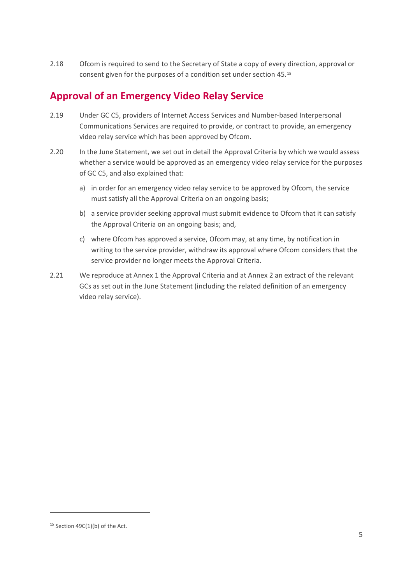2.18 Ofcom is required to send to the Secretary of State a copy of every direction, approval or consent given for the purposes of a condition set under section 45.[15](#page-6-0)

# **Approval of an Emergency Video Relay Service**

- 2.19 Under GC C5, providers of Internet Access Services and Number-based Interpersonal Communications Services are required to provide, or contract to provide, an emergency video relay service which has been approved by Ofcom.
- 2.20 In the June Statement, we set out in detail the Approval Criteria by which we would assess whether a service would be approved as an emergency video relay service for the purposes of GC C5, and also explained that:
	- a) in order for an emergency video relay service to be approved by Ofcom, the service must satisfy all the Approval Criteria on an ongoing basis;
	- b) a service provider seeking approval must submit evidence to Ofcom that it can satisfy the Approval Criteria on an ongoing basis; and,
	- c) where Ofcom has approved a service, Ofcom may, at any time, by notification in writing to the service provider, withdraw its approval where Ofcom considers that the service provider no longer meets the Approval Criteria.
- 2.21 We reproduce at Annex 1 the Approval Criteria and at Annex 2 an extract of the relevant GCs as set out in the June Statement (including the related definition of an emergency video relay service).

<span id="page-6-0"></span> $15$  Section 49C(1)(b) of the Act.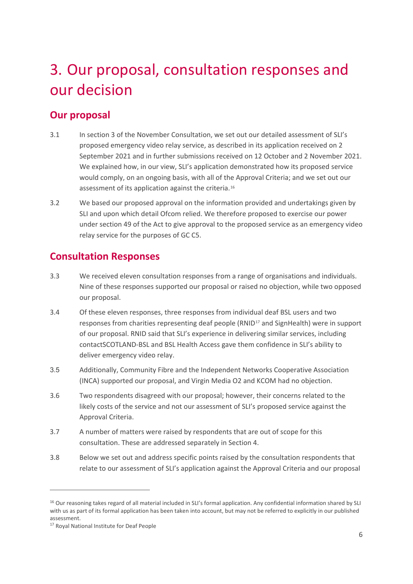# <span id="page-7-0"></span>3. Our proposal, consultation responses and our decision

## **Our proposal**

- 3.1 In section 3 of the November Consultation, we set out our detailed assessment of SLI's proposed emergency video relay service, as described in its application received on 2 September 2021 and in further submissions received on 12 October and 2 November 2021. We explained how, in our view, SLI's application demonstrated how its proposed service would comply, on an ongoing basis, with all of the Approval Criteria; and we set out our assessment of its application against the criteria.<sup>[16](#page-7-1)</sup>
- 3.2 We based our proposed approval on the information provided and undertakings given by SLI and upon which detail Ofcom relied. We therefore proposed to exercise our power under section 49 of the Act to give approval to the proposed service as an emergency video relay service for the purposes of GC C5.

## **Consultation Responses**

- 3.3 We received eleven consultation responses from a range of organisations and individuals. Nine of these responses supported our proposal or raised no objection, while two opposed our proposal.
- 3.4 Of these eleven responses, three responses from individual deaf BSL users and two responses from charities representing deaf people (RNID<sup>[17](#page-7-2)</sup> and SignHealth) were in support of our proposal. RNID said that SLI's experience in delivering similar services, including contactSCOTLAND-BSL and BSL Health Access gave them confidence in SLI's ability to deliver emergency video relay.
- 3.5 Additionally, Community Fibre and the Independent Networks Cooperative Association (INCA) supported our proposal, and Virgin Media O2 and KCOM had no objection.
- 3.6 Two respondents disagreed with our proposal; however, their concerns related to the likely costs of the service and not our assessment of SLI's proposed service against the Approval Criteria.
- 3.7 A number of matters were raised by respondents that are out of scope for this consultation. These are addressed separately in Section 4.
- 3.8 Below we set out and address specific points raised by the consultation respondents that relate to our assessment of SLI's application against the Approval Criteria and our proposal

<span id="page-7-1"></span><sup>&</sup>lt;sup>16</sup> Our reasoning takes regard of all material included in SLI's formal application. Any confidential information shared by SLI with us as part of its formal application has been taken into account, but may not be referred to explicitly in our published assessment.

<span id="page-7-2"></span><sup>&</sup>lt;sup>17</sup> Royal National Institute for Deaf People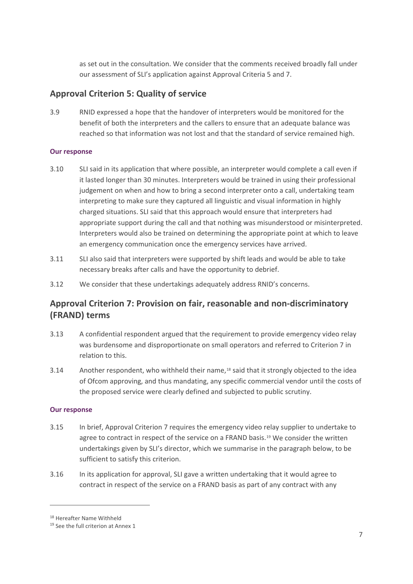as set out in the consultation. We consider that the comments received broadly fall under our assessment of SLI's application against Approval Criteria 5 and 7.

## **Approval Criterion 5: Quality of service**

3.9 RNID expressed a hope that the handover of interpreters would be monitored for the benefit of both the interpreters and the callers to ensure that an adequate balance was reached so that information was not lost and that the standard of service remained high.

### **Our response**

- 3.10 SLI said in its application that where possible, an interpreter would complete a call even if it lasted longer than 30 minutes. Interpreters would be trained in using their professional judgement on when and how to bring a second interpreter onto a call, undertaking team interpreting to make sure they captured all linguistic and visual information in highly charged situations. SLI said that this approach would ensure that interpreters had appropriate support during the call and that nothing was misunderstood or misinterpreted. Interpreters would also be trained on determining the appropriate point at which to leave an emergency communication once the emergency services have arrived.
- 3.11 SLI also said that interpreters were supported by shift leads and would be able to take necessary breaks after calls and have the opportunity to debrief.
- 3.12 We consider that these undertakings adequately address RNID's concerns.

## **Approval Criterion 7: Provision on fair, reasonable and non-discriminatory (FRAND) terms**

- 3.13 A confidential respondent argued that the requirement to provide emergency video relay was burdensome and disproportionate on small operators and referred to Criterion 7 in relation to this.
- 3.14 Another respondent, who withheld their name,<sup>[18](#page-8-0)</sup> said that it strongly objected to the idea of Ofcom approving, and thus mandating, any specific commercial vendor until the costs of the proposed service were clearly defined and subjected to public scrutiny.

## **Our response**

- 3.15 In brief, Approval Criterion 7 requires the emergency video relay supplier to undertake to agree to contract in respect of the service on a FRAND basis.<sup>[19](#page-8-1)</sup> We consider the written undertakings given by SLI's director, which we summarise in the paragraph below, to be sufficient to satisfy this criterion.
- 3.16 In its application for approval, SLI gave a written undertaking that it would agree to contract in respect of the service on a FRAND basis as part of any contract with any

<span id="page-8-0"></span><sup>18</sup> Hereafter Name Withheld

<span id="page-8-1"></span><sup>&</sup>lt;sup>19</sup> See the full criterion at Annex 1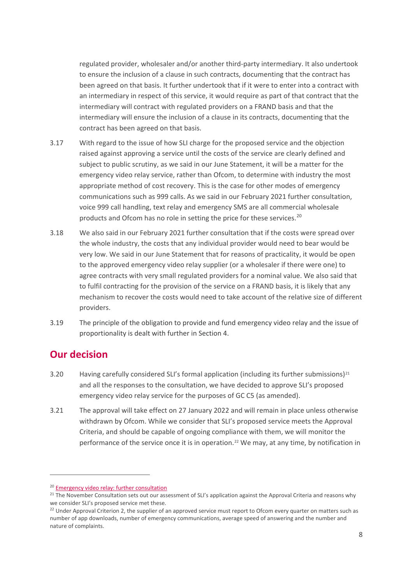regulated provider, wholesaler and/or another third-party intermediary. It also undertook to ensure the inclusion of a clause in such contracts, documenting that the contract has been agreed on that basis. It further undertook that if it were to enter into a contract with an intermediary in respect of this service, it would require as part of that contract that the intermediary will contract with regulated providers on a FRAND basis and that the intermediary will ensure the inclusion of a clause in its contracts, documenting that the contract has been agreed on that basis.

- 3.17 With regard to the issue of how SLI charge for the proposed service and the objection raised against approving a service until the costs of the service are clearly defined and subject to public scrutiny, as we said in our June Statement, it will be a matter for the emergency video relay service, rather than Ofcom, to determine with industry the most appropriate method of cost recovery. This is the case for other modes of emergency communications such as 999 calls. As we said in our February 2021 further consultation, voice 999 call handling, text relay and emergency SMS are all commercial wholesale products and Ofcom has no role in setting the price for these services.<sup>20</sup>
- 3.18 We also said in our February 2021 further consultation that if the costs were spread over the whole industry, the costs that any individual provider would need to bear would be very low. We said in our June Statement that for reasons of practicality, it would be open to the approved emergency video relay supplier (or a wholesaler if there were one) to agree contracts with very small regulated providers for a nominal value. We also said that to fulfil contracting for the provision of the service on a FRAND basis, it is likely that any mechanism to recover the costs would need to take account of the relative size of different providers.
- 3.19 The principle of the obligation to provide and fund emergency video relay and the issue of proportionality is dealt with further in Section 4.

## **Our decision**

- 3.20 Having carefully considered SLI's formal application (including its further submissions)<sup>[21](#page-9-1)</sup> and all the responses to the consultation, we have decided to approve SLI's proposed emergency video relay service for the purposes of GC C5 (as amended).
- 3.21 The approval will take effect on 27 January 2022 and will remain in place unless otherwise withdrawn by Ofcom. While we consider that SLI's proposed service meets the Approval Criteria, and should be capable of ongoing compliance with them, we will monitor the performance of the service once it is in operation.<sup>[22](#page-9-2)</sup> We may, at any time, by notification in

<span id="page-9-1"></span><span id="page-9-0"></span><sup>&</sup>lt;sup>20</sup> Emergency video relay: further consultation<br><sup>21</sup> The November Consultation sets out our assessment of SLI's application against the Approval Criteria and reasons why we consider SLI's proposed service met these.<br><sup>22</sup> Under Approval Criterion 2, the supplier of an approved service must report to Ofcom every quarter on matters such as

<span id="page-9-2"></span>number of app downloads, number of emergency communications, average speed of answering and the number and nature of complaints.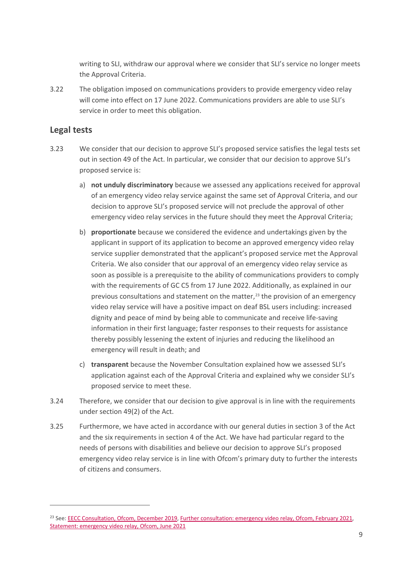writing to SLI, withdraw our approval where we consider that SLI's service no longer meets the Approval Criteria.

3.22 The obligation imposed on communications providers to provide emergency video relay will come into effect on 17 June 2022. Communications providers are able to use SLI's service in order to meet this obligation.

## **Legal tests**

- 3.23 We consider that our decision to approve SLI's proposed service satisfies the legal tests set out in section 49 of the Act. In particular, we consider that our decision to approve SLI's proposed service is:
	- a) **not unduly discriminatory** because we assessed any applications received for approval of an emergency video relay service against the same set of Approval Criteria, and our decision to approve SLI's proposed service will not preclude the approval of other emergency video relay services in the future should they meet the Approval Criteria;
	- b) **proportionate** because we considered the evidence and undertakings given by the applicant in support of its application to become an approved emergency video relay service supplier demonstrated that the applicant's proposed service met the Approval Criteria. We also consider that our approval of an emergency video relay service as soon as possible is a prerequisite to the ability of communications providers to comply with the requirements of GC C5 from 17 June 2022. Additionally, as explained in our previous consultations and statement on the matter,<sup>[23](#page-10-0)</sup> the provision of an emergency video relay service will have a positive impact on deaf BSL users including: increased dignity and peace of mind by being able to communicate and receive life-saving information in their first language; faster responses to their requests for assistance thereby possibly lessening the extent of injuries and reducing the likelihood an emergency will result in death; and
	- c) **transparent** because the November Consultation explained how we assessed SLI's application against each of the Approval Criteria and explained why we consider SLI's proposed service to meet these.
- 3.24 Therefore, we consider that our decision to give approval is in line with the requirements under section 49(2) of the Act.
- 3.25 Furthermore, we have acted in accordance with our general duties in section 3 of the Act and the six requirements in section 4 of the Act. We have had particular regard to the needs of persons with disabilities and believe our decision to approve SLI's proposed emergency video relay service is in line with Ofcom's primary duty to further the interests of citizens and consumers.

<span id="page-10-0"></span><sup>&</sup>lt;sup>23</sup> See[: EECC Consultation, Ofcom, December 2019,](https://www.ofcom.org.uk/__data/assets/pdf_file/0032/184757/consultation-proposals-to-implement-new-eecc.pdf) [Further consultation: emergency video relay, Ofcom, February 2021,](https://www.ofcom.org.uk/__data/assets/pdf_file/0019/213733/further-consultation-emergency-video-relay.pdf) [Statement: emergency video relay, Ofcom, June 2021](https://www.ofcom.org.uk/__data/assets/pdf_file/0028/220879/statement-emergency-video-relay.pdf)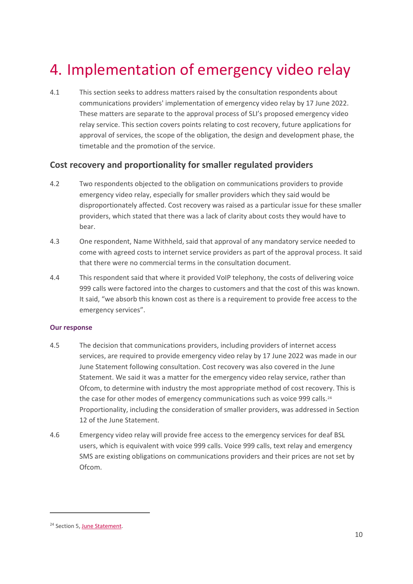# <span id="page-11-0"></span>4. Implementation of emergency video relay

4.1 This section seeks to address matters raised by the consultation respondents about communications providers' implementation of emergency video relay by 17 June 2022. These matters are separate to the approval process of SLI's proposed emergency video relay service. This section covers points relating to cost recovery, future applications for approval of services, the scope of the obligation, the design and development phase, the timetable and the promotion of the service.

## **Cost recovery and proportionality for smaller regulated providers**

- 4.2 Two respondents objected to the obligation on communications providers to provide emergency video relay, especially for smaller providers which they said would be disproportionately affected. Cost recovery was raised as a particular issue for these smaller providers, which stated that there was a lack of clarity about costs they would have to bear.
- 4.3 One respondent, Name Withheld, said that approval of any mandatory service needed to come with agreed costs to internet service providers as part of the approval process. It said that there were no commercial terms in the consultation document.
- 4.4 This respondent said that where it provided VoIP telephony, the costs of delivering voice 999 calls were factored into the charges to customers and that the cost of this was known. It said, "we absorb this known cost as there is a requirement to provide free access to the emergency services".

### **Our response**

- 4.5 The decision that communications providers, including providers of internet access services, are required to provide emergency video relay by 17 June 2022 was made in our June Statement following consultation. Cost recovery was also covered in the June Statement. We said it was a matter for the emergency video relay service, rather than Ofcom, to determine with industry the most appropriate method of cost recovery. This is the case for other modes of emergency communications such as voice 999 calls.<sup>[24](#page-11-1)</sup> Proportionality, including the consideration of smaller providers, was addressed in Section 12 of the June Statement.
- 4.6 Emergency video relay will provide free access to the emergency services for deaf BSL users, which is equivalent with voice 999 calls. Voice 999 calls, text relay and emergency SMS are existing obligations on communications providers and their prices are not set by Ofcom.

<span id="page-11-1"></span><sup>&</sup>lt;sup>24</sup> Section 5, [June Statement.](https://www.ofcom.org.uk/__data/assets/pdf_file/0028/220879/statement-emergency-video-relay.pdf)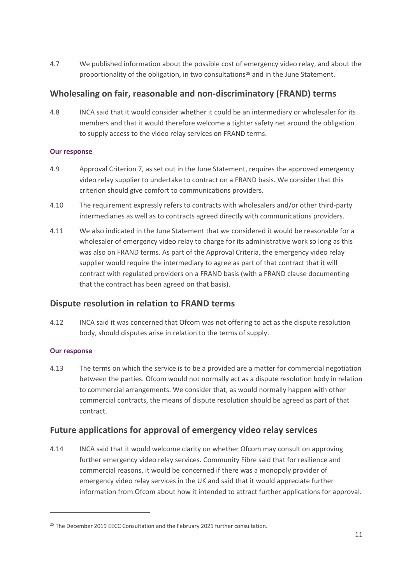4.7 We published information about the possible cost of emergency video relay, and about the proportionality of the obligation, in two consultations<sup>[25](#page-12-0)</sup> and in the June Statement.

## **Wholesaling on fair, reasonable and non-discriminatory (FRAND) terms**

4.8 INCA said that it would consider whether it could be an intermediary or wholesaler for its members and that it would therefore welcome a tighter safety net around the obligation to supply access to the video relay services on FRAND terms.

### **Our response**

- 4.9 Approval Criterion 7, as set out in the June Statement, requires the approved emergency video relay supplier to undertake to contract on a FRAND basis. We consider that this criterion should give comfort to communications providers.
- 4.10 The requirement expressly refers to contracts with wholesalers and/or other third-party intermediaries as well as to contracts agreed directly with communications providers.
- 4.11 We also indicated in the June Statement that we considered it would be reasonable for a wholesaler of emergency video relay to charge for its administrative work so long as this was also on FRAND terms. As part of the Approval Criteria, the emergency video relay supplier would require the intermediary to agree as part of that contract that it will contract with regulated providers on a FRAND basis (with a FRAND clause documenting that the contract has been agreed on that basis).

## **Dispute resolution in relation to FRAND terms**

4.12 INCA said it was concerned that Ofcom was not offering to act as the dispute resolution body, should disputes arise in relation to the terms of supply.

## **Our response**

4.13 The terms on which the service is to be a provided are a matter for commercial negotiation between the parties. Ofcom would not normally act as a dispute resolution body in relation to commercial arrangements. We consider that, as would normally happen with other commercial contracts, the means of dispute resolution should be agreed as part of that contract.

## **Future applications for approval of emergency video relay services**

4.14 INCA said that it would welcome clarity on whether Ofcom may consult on approving further emergency video relay services. Community Fibre said that for resilience and commercial reasons, it would be concerned if there was a monopoly provider of emergency video relay services in the UK and said that it would appreciate further information from Ofcom about how it intended to attract further applications for approval.

<span id="page-12-0"></span> $25$  The December 2019 EECC Consultation and the February 2021 further consultation.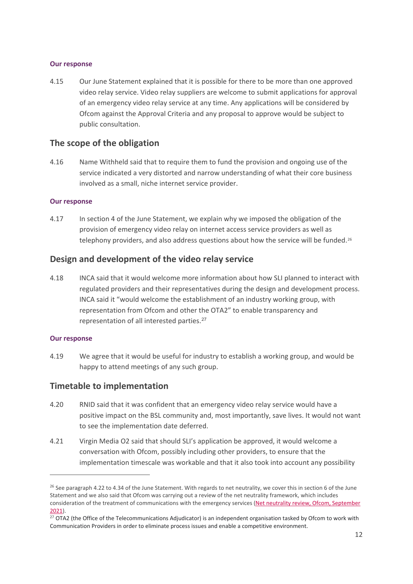#### **Our response**

4.15 Our June Statement explained that it is possible for there to be more than one approved video relay service. Video relay suppliers are welcome to submit applications for approval of an emergency video relay service at any time. Any applications will be considered by Ofcom against the Approval Criteria and any proposal to approve would be subject to public consultation.

### **The scope of the obligation**

4.16 Name Withheld said that to require them to fund the provision and ongoing use of the service indicated a very distorted and narrow understanding of what their core business involved as a small, niche internet service provider.

#### **Our response**

4.17 In section 4 of the June Statement, we explain why we imposed the obligation of the provision of emergency video relay on internet access service providers as well as telephony providers, and also address questions about how the service will be funded.<sup>[26](#page-13-0)</sup>

### **Design and development of the video relay service**

4.18 INCA said that it would welcome more information about how SLI planned to interact with regulated providers and their representatives during the design and development process. INCA said it "would welcome the establishment of an industry working group, with representation from Ofcom and other the OTA2" to enable transparency and representation of all interested parties.<sup>[27](#page-13-1)</sup>

#### **Our response**

4.19 We agree that it would be useful for industry to establish a working group, and would be happy to attend meetings of any such group.

## **Timetable to implementation**

- 4.20 RNID said that it was confident that an emergency video relay service would have a positive impact on the BSL community and, most importantly, save lives. It would not want to see the implementation date deferred.
- 4.21 Virgin Media O2 said that should SLI's application be approved, it would welcome a conversation with Ofcom, possibly including other providers, to ensure that the implementation timescale was workable and that it also took into account any possibility

<span id="page-13-0"></span> $26$  See paragraph 4.22 to 4.34 of the June Statement. With regards to net neutrality, we cover this in section 6 of the June Statement and we also said that Ofcom was carrying out a review of the net neutrality framework, which includes consideration of the treatment of communications with the emergency services (Net neutrality review, Ofcom, September [2021\)](https://www.ofcom.org.uk/__data/assets/pdf_file/0015/224142/call-for-evidence-net-neutrality-review.pdf).

<span id="page-13-1"></span><sup>&</sup>lt;sup>27</sup> OTA2 (the Office of the Telecommunications Adjudicator) is an independent organisation tasked by Ofcom to work with Communication Providers in order to eliminate process issues and enable a competitive environment.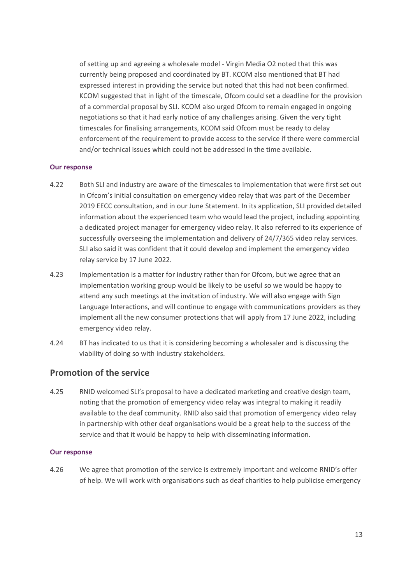of setting up and agreeing a wholesale model - Virgin Media O2 noted that this was currently being proposed and coordinated by BT. KCOM also mentioned that BT had expressed interest in providing the service but noted that this had not been confirmed. KCOM suggested that in light of the timescale, Ofcom could set a deadline for the provision of a commercial proposal by SLI. KCOM also urged Ofcom to remain engaged in ongoing negotiations so that it had early notice of any challenges arising. Given the very tight timescales for finalising arrangements, KCOM said Ofcom must be ready to delay enforcement of the requirement to provide access to the service if there were commercial and/or technical issues which could not be addressed in the time available.

#### **Our response**

- 4.22 Both SLI and industry are aware of the timescales to implementation that were first set out in Ofcom's initial consultation on emergency video relay that was part of the December 2019 EECC consultation, and in our June Statement. In its application, SLI provided detailed information about the experienced team who would lead the project, including appointing a dedicated project manager for emergency video relay. It also referred to its experience of successfully overseeing the implementation and delivery of 24/7/365 video relay services. SLI also said it was confident that it could develop and implement the emergency video relay service by 17 June 2022.
- 4.23 Implementation is a matter for industry rather than for Ofcom, but we agree that an implementation working group would be likely to be useful so we would be happy to attend any such meetings at the invitation of industry. We will also engage with Sign Language Interactions, and will continue to engage with communications providers as they implement all the new consumer protections that will apply from 17 June 2022, including emergency video relay.
- 4.24 BT has indicated to us that it is considering becoming a wholesaler and is discussing the viability of doing so with industry stakeholders.

## **Promotion of the service**

4.25 RNID welcomed SLI's proposal to have a dedicated marketing and creative design team, noting that the promotion of emergency video relay was integral to making it readily available to the deaf community. RNID also said that promotion of emergency video relay in partnership with other deaf organisations would be a great help to the success of the service and that it would be happy to help with disseminating information.

#### **Our response**

4.26 We agree that promotion of the service is extremely important and welcome RNID's offer of help. We will work with organisations such as deaf charities to help publicise emergency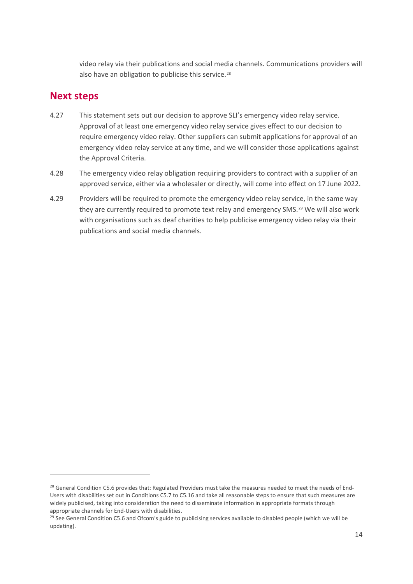video relay via their publications and social media channels. Communications providers will also have an obligation to publicise this service.<sup>[28](#page-15-0)</sup>

## **Next steps**

- 4.27 This statement sets out our decision to approve SLI's emergency video relay service. Approval of at least one emergency video relay service gives effect to our decision to require emergency video relay. Other suppliers can submit applications for approval of an emergency video relay service at any time, and we will consider those applications against the Approval Criteria.
- 4.28 The emergency video relay obligation requiring providers to contract with a supplier of an approved service, either via a wholesaler or directly, will come into effect on 17 June 2022.
- 4.29 Providers will be required to promote the emergency video relay service, in the same way they are currently required to promote text relay and emergency SMS.<sup>[29](#page-15-1)</sup> We will also work with organisations such as deaf charities to help publicise emergency video relay via their publications and social media channels.

<span id="page-15-0"></span><sup>&</sup>lt;sup>28</sup> General Condition C5.6 provides that: Regulated Providers must take the measures needed to meet the needs of End-Users with disabilities set out in Conditions C5.7 to C5.16 and take all reasonable steps to ensure that such measures are widely publicised, taking into consideration the need to disseminate information in appropriate formats through appropriate channels for End-Users with disabilities.

<span id="page-15-1"></span> $29$  See General Condition C5.6 and Ofcom's guide to publicising services available to disabled people (which we will be updating).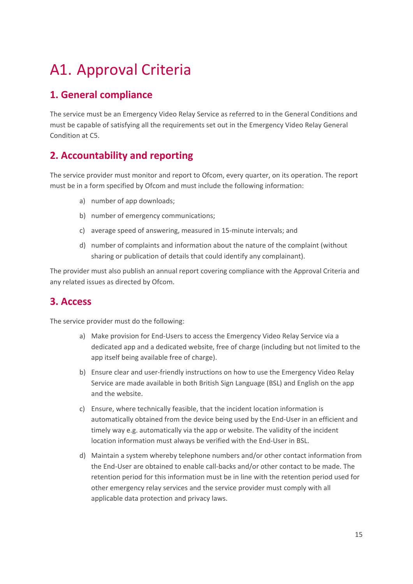# <span id="page-16-0"></span>A1. Approval Criteria

# **1. General compliance**

The service must be an Emergency Video Relay Service as referred to in the General Conditions and must be capable of satisfying all the requirements set out in the Emergency Video Relay General Condition at C5.

# **2. Accountability and reporting**

The service provider must monitor and report to Ofcom, every quarter, on its operation. The report must be in a form specified by Ofcom and must include the following information:

- a) number of app downloads;
- b) number of emergency communications;
- c) average speed of answering, measured in 15-minute intervals; and
- d) number of complaints and information about the nature of the complaint (without sharing or publication of details that could identify any complainant).

The provider must also publish an annual report covering compliance with the Approval Criteria and any related issues as directed by Ofcom.

## **3. Access**

The service provider must do the following:

- a) Make provision for End-Users to access the Emergency Video Relay Service via a dedicated app and a dedicated website, free of charge (including but not limited to the app itself being available free of charge).
- b) Ensure clear and user-friendly instructions on how to use the Emergency Video Relay Service are made available in both British Sign Language (BSL) and English on the app and the website.
- c) Ensure, where technically feasible, that the incident location information is automatically obtained from the device being used by the End-User in an efficient and timely way e.g. automatically via the app or website. The validity of the incident location information must always be verified with the End-User in BSL.
- d) Maintain a system whereby telephone numbers and/or other contact information from the End-User are obtained to enable call-backs and/or other contact to be made. The retention period for this information must be in line with the retention period used for other emergency relay services and the service provider must comply with all applicable data protection and privacy laws.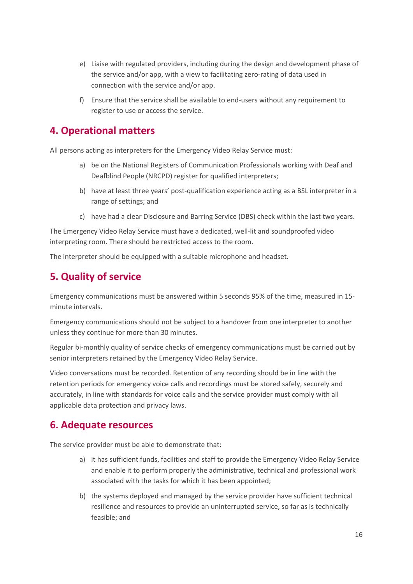- e) Liaise with regulated providers, including during the design and development phase of the service and/or app, with a view to facilitating zero-rating of data used in connection with the service and/or app.
- f) Ensure that the service shall be available to end-users without any requirement to register to use or access the service.

## **4. Operational matters**

All persons acting as interpreters for the Emergency Video Relay Service must:

- a) be on the National Registers of Communication Professionals working with Deaf and Deafblind People (NRCPD) register for qualified interpreters;
- b) have at least three years' post-qualification experience acting as a BSL interpreter in a range of settings; and
- c) have had a clear Disclosure and Barring Service (DBS) check within the last two years.

The Emergency Video Relay Service must have a dedicated, well-lit and soundproofed video interpreting room. There should be restricted access to the room.

The interpreter should be equipped with a suitable microphone and headset.

# **5. Quality of service**

Emergency communications must be answered within 5 seconds 95% of the time, measured in 15 minute intervals.

Emergency communications should not be subject to a handover from one interpreter to another unless they continue for more than 30 minutes.

Regular bi-monthly quality of service checks of emergency communications must be carried out by senior interpreters retained by the Emergency Video Relay Service.

Video conversations must be recorded. Retention of any recording should be in line with the retention periods for emergency voice calls and recordings must be stored safely, securely and accurately, in line with standards for voice calls and the service provider must comply with all applicable data protection and privacy laws.

## **6. Adequate resources**

The service provider must be able to demonstrate that:

- a) it has sufficient funds, facilities and staff to provide the Emergency Video Relay Service and enable it to perform properly the administrative, technical and professional work associated with the tasks for which it has been appointed;
- b) the systems deployed and managed by the service provider have sufficient technical resilience and resources to provide an uninterrupted service, so far as is technically feasible; and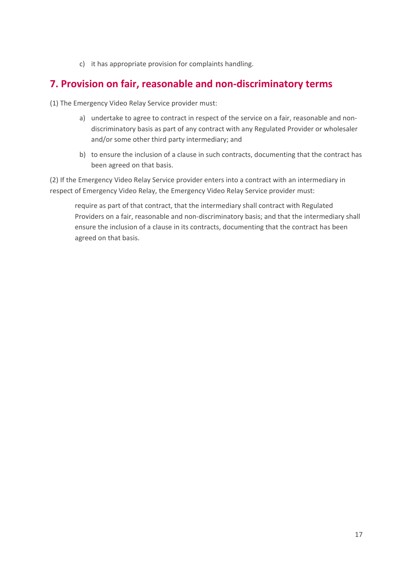c) it has appropriate provision for complaints handling.

## **7. Provision on fair, reasonable and non-discriminatory terms**

(1) The Emergency Video Relay Service provider must:

- a) undertake to agree to contract in respect of the service on a fair, reasonable and nondiscriminatory basis as part of any contract with any Regulated Provider or wholesaler and/or some other third party intermediary; and
- b) to ensure the inclusion of a clause in such contracts, documenting that the contract has been agreed on that basis.

(2) If the Emergency Video Relay Service provider enters into a contract with an intermediary in respect of Emergency Video Relay, the Emergency Video Relay Service provider must:

require as part of that contract, that the intermediary shall contract with Regulated Providers on a fair, reasonable and non-discriminatory basis; and that the intermediary shall ensure the inclusion of a clause in its contracts, documenting that the contract has been agreed on that basis.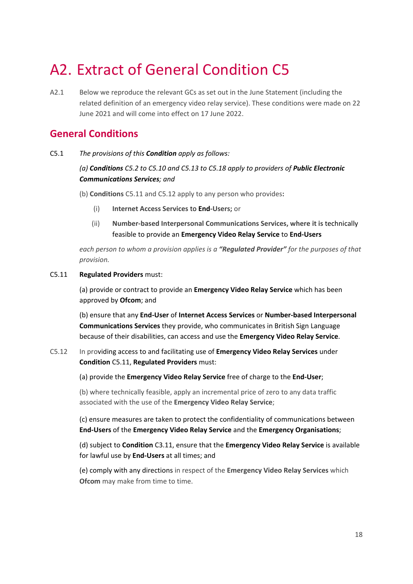# <span id="page-19-0"></span>A2. Extract of General Condition C5

A2.1 Below we reproduce the relevant GCs as set out in the June Statement (including the related definition of an emergency video relay service). These conditions were made on 22 June 2021 and will come into effect on 17 June 2022.

## **General Conditions**

C5.1 *The provisions of this Condition apply as follows:*

## *(a) Conditions C5.2 to C5.10 and C5.13 to C5.18 apply to providers of Public Electronic Communications Services; and*

- (b) **Conditions** C5.11 and C5.12 apply to any person who provides**:**
	- (i) **Internet Access Services** to **End-Users;** or
	- (ii) **Number-based Interpersonal Communications Services, where it is** technically feasible to provide an **Emergency Video Relay Service** to **End-Users**

*each person to whom a provision applies is a "Regulated Provider" for the purposes of that provision.*

### C5.11 **Regulated Providers** must:

(a) provide or contract to provide an **Emergency Video Relay Service** which has been approved by **Ofcom**; and

(b) ensure that any **End-User** of **Internet Access Services** or **Number-based Interpersonal Communications Services** they provide, who communicates in British Sign Language because of their disabilities, can access and use the **Emergency Video Relay Service**.

C5.12 In providing access to and facilitating use of **Emergency Video Relay Services** under **Condition** C5.11, **Regulated Providers** must:

(a) provide the **Emergency Video Relay Service** free of charge to the **End-User**;

(b) where technically feasible, apply an incremental price of zero to any data traffic associated with the use of the **Emergency Video Relay Service**;

(c) ensure measures are taken to protect the confidentiality of communications between **End-Users** of the **Emergency Video Relay Service** and the **Emergency Organisations**;

(d) subject to **Condition** C3.11, ensure that the **Emergency Video Relay Service** is available for lawful use by **End-Users** at all times; and

(e) comply with any directions in respect of the **Emergency Video Relay Services** which **Ofcom** may make from time to time.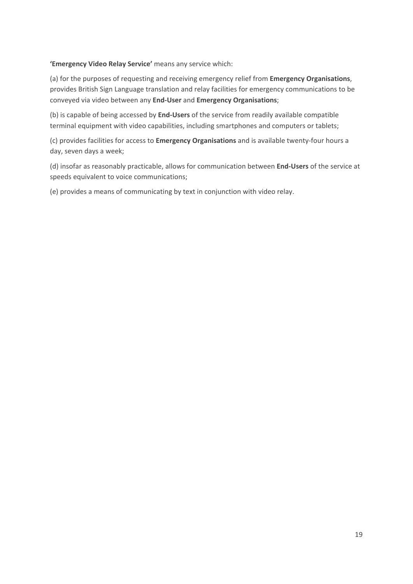#### **'Emergency Video Relay Service'** means any service which:

(a) for the purposes of requesting and receiving emergency relief from **Emergency Organisations**, provides British Sign Language translation and relay facilities for emergency communications to be conveyed via video between any **End-User** and **Emergency Organisations**;

(b) is capable of being accessed by **End-Users** of the service from readily available compatible terminal equipment with video capabilities, including smartphones and computers or tablets;

(c) provides facilities for access to **Emergency Organisations** and is available twenty-four hours a day, seven days a week;

(d) insofar as reasonably practicable, allows for communication between **End-Users** of the service at speeds equivalent to voice communications;

(e) provides a means of communicating by text in conjunction with video relay.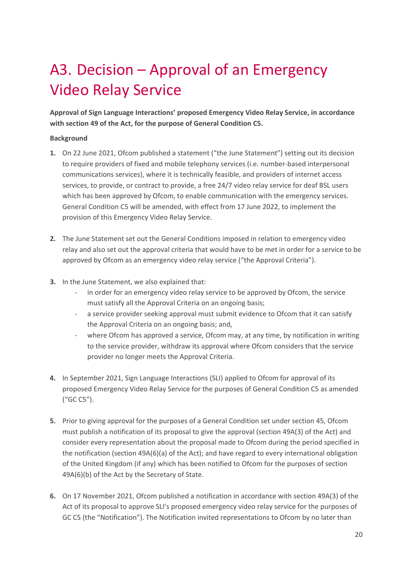# <span id="page-21-0"></span>A3. Decision – Approval of an Emergency Video Relay Service

**Approval of Sign Language Interactions' proposed Emergency Video Relay Service, in accordance with section 49 of the Act, for the purpose of General Condition C5.**

#### **Background**

- **1.** On 22 June 2021, Ofcom published a statement ("the June Statement") setting out its decision to require providers of fixed and mobile telephony services (i.e. number-based interpersonal communications services), where it is technically feasible, and providers of internet access services, to provide, or contract to provide, a free 24/7 video relay service for deaf BSL users which has been approved by Ofcom, to enable communication with the emergency services. General Condition C5 will be amended, with effect from 17 June 2022, to implement the provision of this Emergency Video Relay Service.
- **2.** The June Statement set out the General Conditions imposed in relation to emergency video relay and also set out the approval criteria that would have to be met in order for a service to be approved by Ofcom as an emergency video relay service ("the Approval Criteria").
- **3.** In the June Statement, we also explained that:
	- in order for an emergency video relay service to be approved by Ofcom, the service must satisfy all the Approval Criteria on an ongoing basis;
	- a service provider seeking approval must submit evidence to Ofcom that it can satisfy the Approval Criteria on an ongoing basis; and,
	- where Ofcom has approved a service, Ofcom may, at any time, by notification in writing to the service provider, withdraw its approval where Ofcom considers that the service provider no longer meets the Approval Criteria.
- **4.** In September 2021, Sign Language Interactions (SLI) applied to Ofcom for approval of its proposed Emergency Video Relay Service for the purposes of General Condition C5 as amended ("GC C5").
- **5.** Prior to giving approval for the purposes of a General Condition set under section 45, Ofcom must publish a notification of its proposal to give the approval (section 49A(3) of the Act) and consider every representation about the proposal made to Ofcom during the period specified in the notification (section 49A(6)(a) of the Act); and have regard to every international obligation of the United Kingdom (if any) which has been notified to Ofcom for the purposes of section 49A(6)(b) of the Act by the Secretary of State.
- **6.** On 17 November 2021, Ofcom published a notification in accordance with section 49A(3) of the Act of its proposal to approve SLI's proposed emergency video relay service for the purposes of GC C5 (the "Notification"). The Notification invited representations to Ofcom by no later than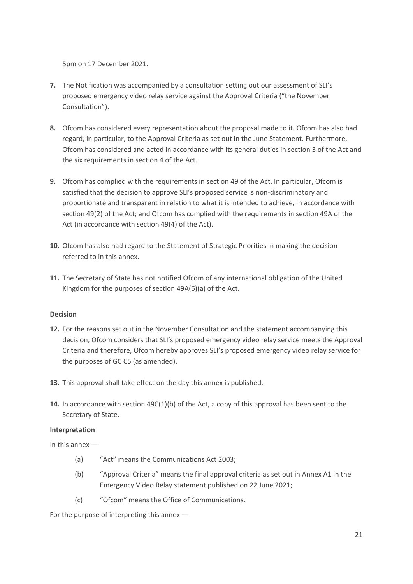5pm on 17 December 2021.

- **7.** The Notification was accompanied by a consultation setting out our assessment of SLI's proposed emergency video relay service against the Approval Criteria ("the November Consultation").
- **8.** Ofcom has considered every representation about the proposal made to it. Ofcom has also had regard, in particular, to the Approval Criteria as set out in the June Statement. Furthermore, Ofcom has considered and acted in accordance with its general duties in section 3 of the Act and the six requirements in section 4 of the Act.
- **9.** Ofcom has complied with the requirements in section 49 of the Act. In particular, Ofcom is satisfied that the decision to approve SLI's proposed service is non-discriminatory and proportionate and transparent in relation to what it is intended to achieve, in accordance with section 49(2) of the Act; and Ofcom has complied with the requirements in section 49A of the Act (in accordance with section 49(4) of the Act).
- **10.** Ofcom has also had regard to the Statement of Strategic Priorities in making the decision referred to in this annex.
- **11.** The Secretary of State has not notified Ofcom of any international obligation of the United Kingdom for the purposes of section 49A(6)(a) of the Act.

#### **Decision**

- **12.** For the reasons set out in the November Consultation and the statement accompanying this decision, Ofcom considers that SLI's proposed emergency video relay service meets the Approval Criteria and therefore, Ofcom hereby approves SLI's proposed emergency video relay service for the purposes of GC C5 (as amended).
- **13.** This approval shall take effect on the day this annex is published.
- **14.** In accordance with section 49C(1)(b) of the Act, a copy of this approval has been sent to the Secretary of State.

#### **Interpretation**

In this annex —

- (a) "Act" means the Communications Act 2003;
- (b) "Approval Criteria" means the final approval criteria as set out in Annex A1 in the Emergency Video Relay statement published on 22 June 2021;
- (c) "Ofcom" means the Office of Communications.

For the purpose of interpreting this annex —